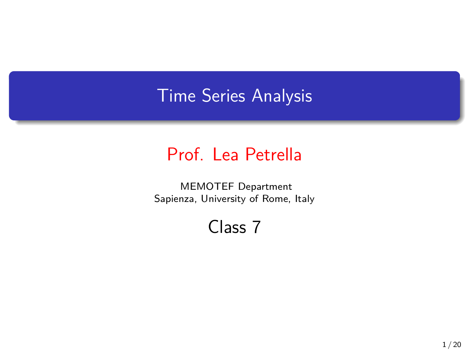## Time Series Analysis

## Prof. Lea Petrella

MEMOTEF Department Sapienza, University of Rome, Italy

Class 7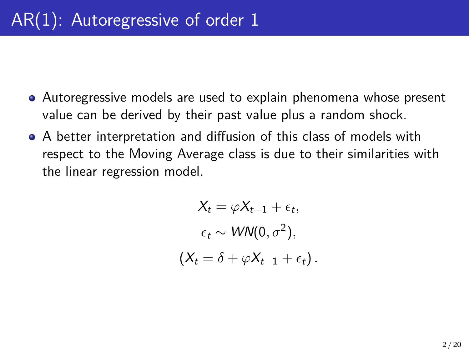- Autoregressive models are used to explain phenomena whose present value can be derived by their past value plus a random shock.
- A better interpretation and diffusion of this class of models with respect to the Moving Average class is due to their similarities with the linear regression model.

$$
X_t = \varphi X_{t-1} + \epsilon_t,
$$
  
\n
$$
\epsilon_t \sim \text{WN}(0, \sigma^2),
$$
  
\n
$$
(X_t = \delta + \varphi X_{t-1} + \epsilon_t).
$$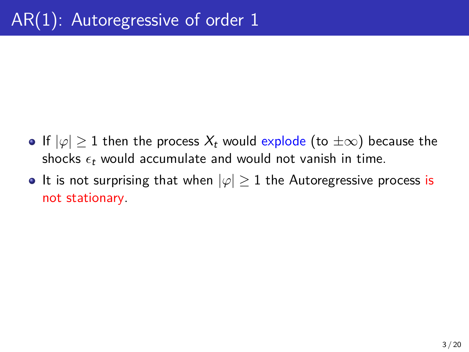- **•** If  $|\varphi|$  ≥ 1 then the process  $X_t$  would explode (to  $\pm \infty$ ) because the shocks  $\epsilon_t$  would accumulate and would not vanish in time.
- It is not surprising that when  $|\varphi| \geq 1$  the Autoregressive process is not stationary.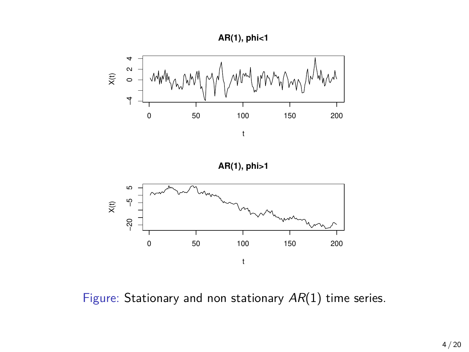



**AR(1), phi>1**



Figure: Stationary and non stationary *AR*(1) time series.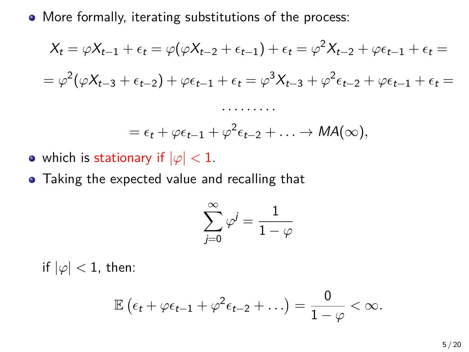• More formally, iterating substitutions of the process:

$$
X_t = \varphi X_{t-1} + \epsilon_t = \varphi(\varphi X_{t-2} + \epsilon_{t-1}) + \epsilon_t = \varphi^2 X_{t-2} + \varphi \epsilon_{t-1} + \epsilon_t =
$$
  
=  $\varphi^2(\varphi X_{t-3} + \epsilon_{t-2}) + \varphi \epsilon_{t-1} + \epsilon_t = \varphi^3 X_{t-3} + \varphi^2 \epsilon_{t-2} + \varphi \epsilon_{t-1} + \epsilon_t =$   
........  
=  $\epsilon_t + \varphi \epsilon_{t-1} + \varphi^2 \epsilon_{t-2} + ... \rightarrow MA(\infty),$ 

- which is stationary if  $|\varphi|$  < 1.
- Taking the expected value and recalling that

$$
\sum_{j=0}^\infty \varphi^j = \frac{1}{1-\varphi}
$$

if  $|\varphi|$  < 1, then:

$$
\mathbb{E}\left(\epsilon_t + \varphi\epsilon_{t-1} + \varphi^2\epsilon_{t-2} + \ldots\right) = \frac{0}{1-\varphi} < \infty.
$$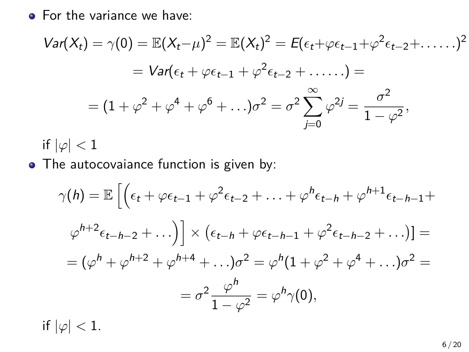• For the variance we have:

$$
Var(X_t) = \gamma(0) = \mathbb{E}(X_t - \mu)^2 = \mathbb{E}(X_t)^2 = E(\epsilon_t + \varphi \epsilon_{t-1} + \varphi^2 \epsilon_{t-2} + \dots)^2
$$
  
=  $Var(\epsilon_t + \varphi \epsilon_{t-1} + \varphi^2 \epsilon_{t-2} + \dots) =$   
=  $(1 + \varphi^2 + \varphi^4 + \varphi^6 + \dots)\sigma^2 = \sigma^2 \sum_{j=0}^{\infty} \varphi^{2j} = \frac{\sigma^2}{1 - \varphi^2},$ 

if  $|\varphi|$  < 1

• The autocovaiance function is given by:

$$
\gamma(h) = \mathbb{E}\left[\left(\epsilon_t + \varphi\epsilon_{t-1} + \varphi^2\epsilon_{t-2} + \dots + \varphi^h\epsilon_{t-h} + \varphi^{h+1}\epsilon_{t-h-1} + \varphi^{h+2}\epsilon_{t-h-2} + \dots\right)\right] \times \left(\epsilon_{t-h} + \varphi\epsilon_{t-h-1} + \varphi^2\epsilon_{t-h-2} + \dots\right)] =
$$

$$
= (\varphi^h + \varphi^{h+2} + \varphi^{h+4} + \dots)\sigma^2 = \varphi^h(1 + \varphi^2 + \varphi^4 + \dots)\sigma^2 =
$$

$$
= \sigma^2 \frac{\varphi^h}{1 - \varphi^2} = \varphi^h\gamma(0),
$$

if  $|\varphi|$  < 1.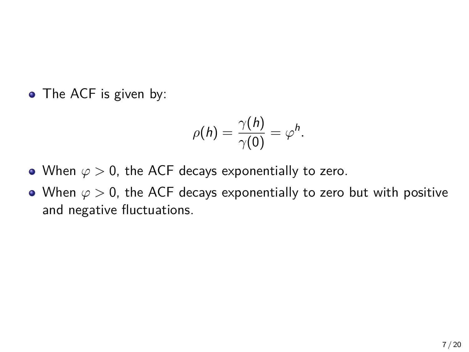• The ACF is given by:

$$
\rho(h)=\frac{\gamma(h)}{\gamma(0)}=\varphi^h.
$$

- When *φ >* 0, the ACF decays exponentially to zero.
- When  $\varphi > 0$ , the ACF decays exponentially to zero but with positive and negative fluctuations.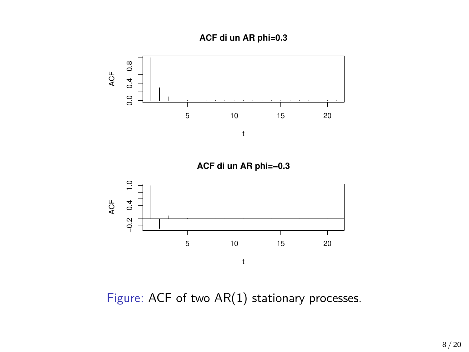**ACF di un AR phi=0.3**



Figure: ACF of two AR(1) stationary processes.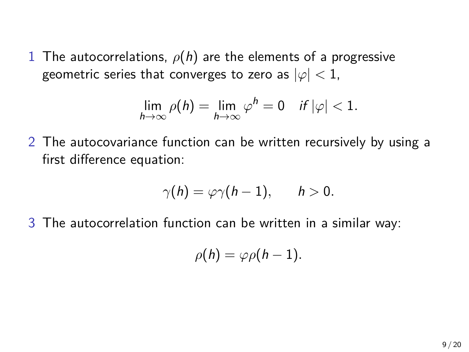1 The autocorrelations,  $\rho(h)$  are the elements of a progressive geometric series that converges to zero as  $|\varphi| < 1$ ,

$$
\lim_{h\to\infty}\rho(h)=\lim_{h\to\infty}\varphi^h=0 \quad \text{if } |\varphi|<1.
$$

2 The autocovariance function can be written recursively by using a first difference equation:

$$
\gamma(h)=\varphi\gamma(h-1),\qquad h>0.
$$

3 The autocorrelation function can be written in a similar way:

$$
\rho(h)=\varphi\rho(h-1).
$$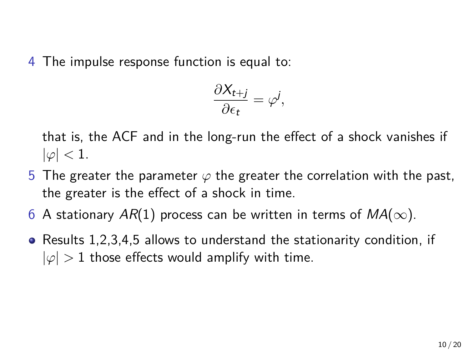4 The impulse response function is equal to:

$$
\frac{\partial X_{t+j}}{\partial \epsilon_t} = \varphi^j,
$$

that is, the ACF and in the long-run the effect of a shock vanishes if  $|\varphi|$   $<$  1.

- 5 The greater the parameter  $\varphi$  the greater the correlation with the past, the greater is the effect of a shock in time.
- 6 A stationary  $AR(1)$  process can be written in terms of  $MA(\infty)$ .
- Results 1,2,3,4,5 allows to understand the stationarity condition, if  $|\varphi| > 1$  those effects would amplify with time.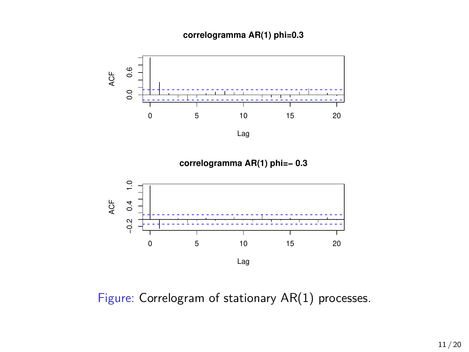## **correlogramma AR(1) phi=0.3**





Figure: Correlogram of stationary AR(1) processes.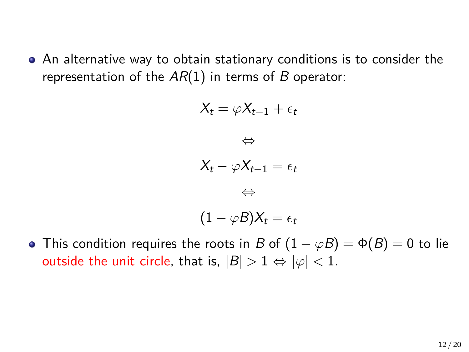An alternative way to obtain stationary conditions is to consider the representation of the *AR*(1) in terms of *B* operator:

$$
X_{t} = \varphi X_{t-1} + \epsilon_{t}
$$

$$
\Leftrightarrow
$$

$$
X_{t} - \varphi X_{t-1} = \epsilon_{t}
$$

$$
\Leftrightarrow
$$

$$
(1 - \varphi B)X_{t} = \epsilon_{t}
$$

**•** This condition requires the roots in *B* of  $(1 - \varphi B) = \Phi(B) = 0$  to lie outside the unit circle, that is,  $|B| > 1 \Leftrightarrow |\varphi| < 1$ .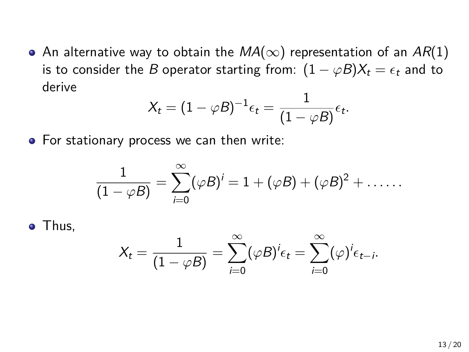An alternative way to obtain the *MA*(*∞*) representation of an *AR*(1) is to consider the *B* operator starting from:  $(1 - \varphi B)X_t = \epsilon_t$  and to derive

$$
X_t = (1 - \varphi B)^{-1} \epsilon_t = \frac{1}{(1 - \varphi B)} \epsilon_t.
$$

• For stationary process we can then write:

$$
\frac{1}{(1-\varphi B)}=\sum_{i=0}^{\infty}(\varphi B)^{i}=1+(\varphi B)+(\varphi B)^{2}+\ldots\ldots
$$

• Thus,

$$
X_t = \frac{1}{(1 - \varphi B)} = \sum_{i=0}^{\infty} (\varphi B)^i \epsilon_t = \sum_{i=0}^{\infty} (\varphi)^i \epsilon_{t-i}.
$$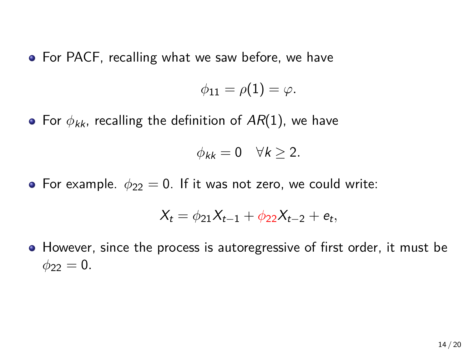**•** For PACF, recalling what we saw before, we have

 $\phi_{11} = \rho(1) = \varphi.$ 

For *ϕkk*, recalling the definition of *AR*(1), we have

$$
\phi_{kk} = 0 \quad \forall k \geq 2.
$$

• For example.  $\phi_{22} = 0$ . If it was not zero, we could write:

$$
X_t = \phi_{21} X_{t-1} + \phi_{22} X_{t-2} + e_t,
$$

• However, since the process is autoregressive of first order, it must be  $\phi_{22} = 0$ .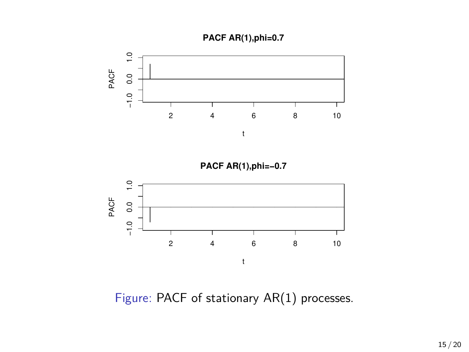



Figure: PACF of stationary AR(1) processes.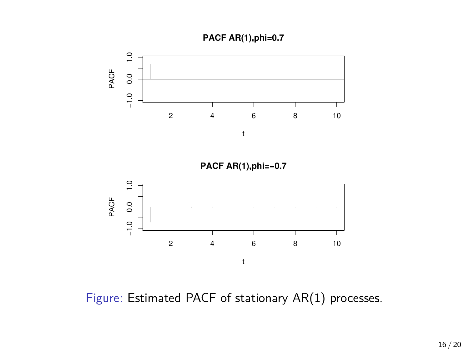



Figure: Estimated PACF of stationary AR(1) processes.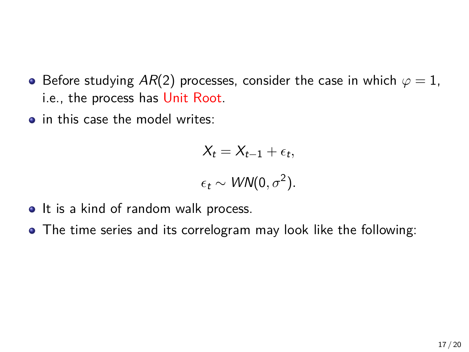- **•** Before studying  $AR(2)$  processes, consider the case in which  $\varphi = 1$ , i.e., the process has Unit Root.
- in this case the model writes:

$$
X_t = X_{t-1} + \epsilon_t,
$$
  

$$
\epsilon_t \sim \text{WN}(0, \sigma^2).
$$

- It is a kind of random walk process.
- The time series and its correlogram may look like the following: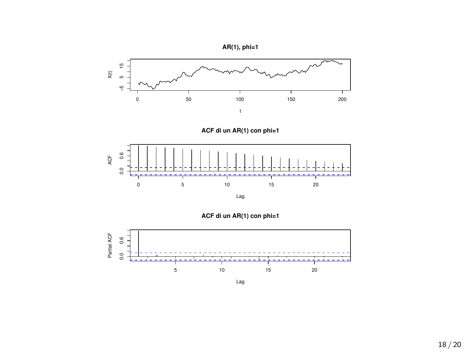

Lag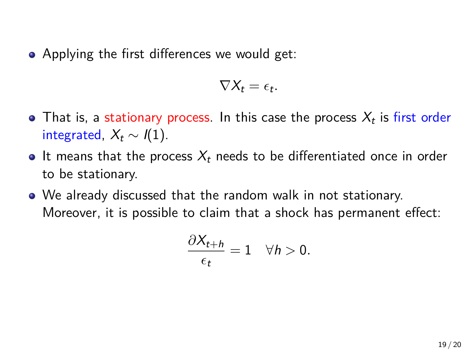• Applying the first differences we would get:

$$
\nabla X_t = \epsilon_t.
$$

- That is, a stationary process. In this case the process  $X_t$  is first order integrated,  $X_t \sim I(1)$ .
- $\bullet$  It means that the process  $X_t$  needs to be differentiated once in order to be stationary.
- We already discussed that the random walk in not stationary. Moreover, it is possible to claim that a shock has permanent effect:

$$
\frac{\partial X_{t+h}}{\epsilon_t}=1 \quad \forall h>0.
$$